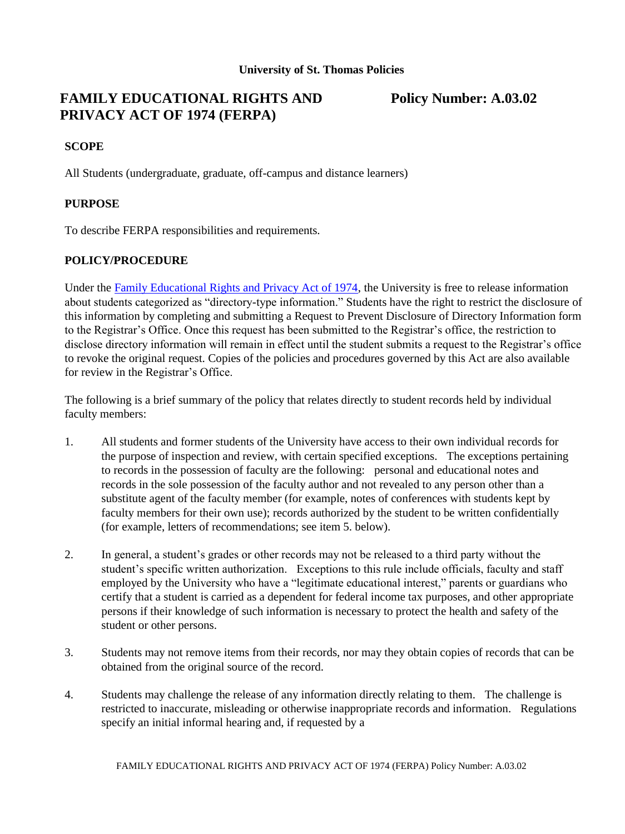# **FAMILY EDUCATIONAL RIGHTS AND Policy Number: A.03.02 PRIVACY ACT OF 1974 (FERPA)**

## **SCOPE**

All Students (undergraduate, graduate, off-campus and distance learners)

# **PURPOSE**

To describe FERPA responsibilities and requirements.

#### **POLICY/PROCEDURE**

Under the Family Educational Rights and Privacy Act of 1974, the University is free to release information about students categorized as "directory-type information." Students have the right to restrict the disclosure of this information by completing and submitting a Request to Prevent Disclosure of Directory Information form to the Registrar's Office. Once this request has been submitted to the Registrar's office, the restriction to disclose directory information will remain in effect until the student submits a request to the Registrar's office to revoke the original request. Copies of the policies and procedures governed by this Act are also available for review in the Registrar's Office.

The following is a brief summary of the policy that relates directly to student records held by individual faculty members:

- 1. All students and former students of the University have access to their own individual records for the purpose of inspection and review, with certain specified exceptions. The exceptions pertaining to records in the possession of faculty are the following: personal and educational notes and records in the sole possession of the faculty author and not revealed to any person other than a substitute agent of the faculty member (for example, notes of conferences with students kept by faculty members for their own use); records authorized by the student to be written confidentially (for example, letters of recommendations; see item 5. below).
- 2. In general, a student's grades or other records may not be released to a third party without the student's specific written authorization. Exceptions to this rule include officials, faculty and staff employed by the University who have a "legitimate educational interest," parents or guardians who certify that a student is carried as a dependent for federal income tax purposes, and other appropriate persons if their knowledge of such information is necessary to protect the health and safety of the student or other persons.
- 3. Students may not remove items from their records, nor may they obtain copies of records that can be obtained from the original source of the record.
- 4. Students may challenge the release of any information directly relating to them. The challenge is restricted to inaccurate, misleading or otherwise inappropriate records and information. Regulations specify an initial informal hearing and, if requested by a